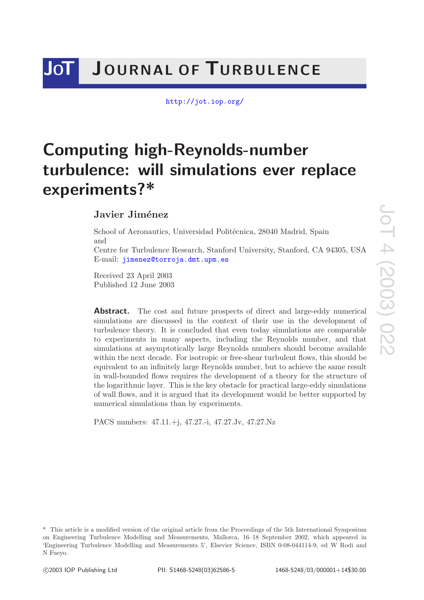# **JOURNAL OF TURBULENCE**

<http://jot.iop.org/>

## **Computing high-Reynolds-number turbulence: will simulations ever replace experiments?\***

## **Javier Jiménez**

School of Aeronautics, Universidad Politécnica, 28040 Madrid, Spain and

Centre for Turbulence Research, Stanford University, Stanford, CA 94305, USA E-mail: [jimenez@torroja.dmt.upm.es](mailto:jimenez@torroja.dmt.upm.es)

Received 23 April 2003 Published 12 June 2003

**Abstract.** The cost and future prospects of direct and large-eddy numerical simulations are discussed in the context of their use in the development of turbulence theory. It is concluded that even today simulations are comparable to experiments in many aspects, including the Reynolds number, and that simulations at asymptotically large Reynolds numbers should become available within the next decade. For isotropic or free-shear turbulent flows, this should be equivalent to an infinitely large Reynolds number, but to achieve the same result in wall-bounded flows requires the development of a theory for the structure of the logarithmic layer. This is the key obstacle for practical large-eddy simulations of wall flows, and it is argued that its development would be better supported by numerical simulations than by experiments.

PACS numbers: 47.11.+j, 47.27.-i, 47.27.Jv, 47.27.Nz

<sup>\*</sup> This article is a modified version of the original article from the Proceedings of the 5th International Symposium on Engineering Turbulence Modelling and Measurements, Mallorca, 16–18 September 2002, which appeared in 'Engineering Turbulence Modelling and Measurements 5', Elsevier Science, ISBN 0-08-044114-9, ed W Rodi and N Fueyo.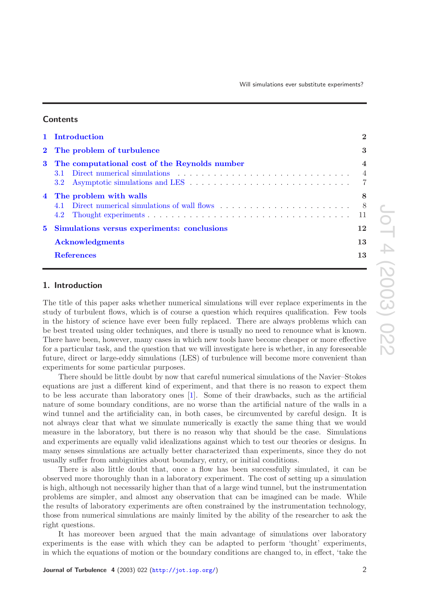### **Contents**

|                             | 1 Introduction                                                |                                                    |  |  |  |  |
|-----------------------------|---------------------------------------------------------------|----------------------------------------------------|--|--|--|--|
| 2 The problem of turbulence |                                                               |                                                    |  |  |  |  |
|                             | 3 The computational cost of the Reynolds number<br>3.1<br>3.2 | $\overline{4}$<br>$\overline{4}$<br>$\overline{7}$ |  |  |  |  |
|                             | 4 The problem with walls<br>4.1                               | 8<br>11                                            |  |  |  |  |
|                             | 5 Simulations versus experiments: conclusions                 | 12                                                 |  |  |  |  |
|                             | <b>Acknowledgments</b>                                        |                                                    |  |  |  |  |
|                             | <b>References</b>                                             |                                                    |  |  |  |  |

## <span id="page-1-0"></span>**1. Introduction**

The title of this paper asks whether numerical simulations will ever replace experiments in the study of turbulent flows, which is of course a question which requires qualification. Few tools in the history of science have ever been fully replaced. There are always problems which can be best treated using older techniques, and there is usually no need to renounce what is known. There have been, however, many cases in which new tools have become cheaper or more effective for a particular task, and the question that we will investigate here is whether, in any foreseeable future, direct or large-eddy simulations (LES) of turbulence will become more convenient than experiments for some particular purposes.

There should be little doubt by now that careful numerical simulations of the Navier–Stokes equations are just a different kind of experiment, and that there is no reason to expect them to be less accurate than laboratory ones [\[1\]](#page-12-2). Some of their drawbacks, such as the artificial nature of some boundary conditions, are no worse than the artificial nature of the walls in a wind tunnel and the artificiality can, in both cases, be circumvented by careful design. It is not always clear that what we simulate numerically is exactly the same thing that we would measure in the laboratory, but there is no reason why that should be the case. Simulations and experiments are equally valid idealizations against which to test our theories or designs. In many senses simulations are actually better characterized than experiments, since they do not usually suffer from ambiguities about boundary, entry, or initial conditions.

There is also little doubt that, once a flow has been successfully simulated, it can be observed more thoroughly than in a laboratory experiment. The cost of setting up a simulation is high, although not necessarily higher than that of a large wind tunnel, but the instrumentation problems are simpler, and almost any observation that can be imagined can be made. While the results of laboratory experiments are often constrained by the instrumentation technology, those from numerical simulations are mainly limited by the ability of the researcher to ask the right questions.

It has moreover been argued that the main advantage of simulations over laboratory experiments is the ease with which they can be adapted to perform 'thought' experiments, in which the equations of motion or the boundary conditions are changed to, in effect, 'take the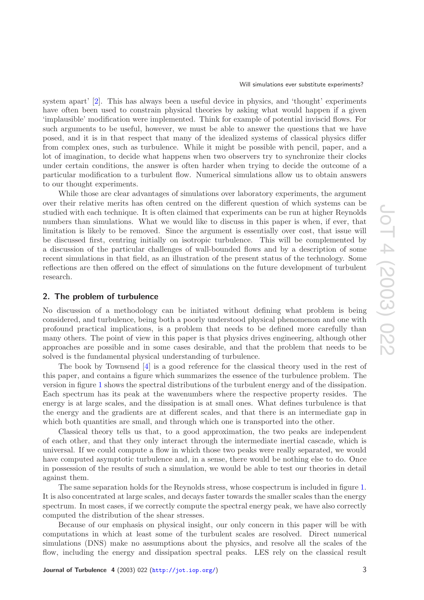system apart' [\[2\]](#page-12-3). This has always been a useful device in physics, and 'thought' experiments have often been used to constrain physical theories by asking what would happen if a given 'implausible' modification were implemented. Think for example of potential inviscid flows. For such arguments to be useful, however, we must be able to answer the questions that we have posed, and it is in that respect that many of the idealized systems of classical physics differ from complex ones, such as turbulence. While it might be possible with pencil, paper, and a lot of imagination, to decide what happens when two observers try to synchronize their clocks under certain conditions, the answer is often harder when trying to decide the outcome of a particular modification to a turbulent flow. Numerical simulations allow us to obtain answers to our thought experiments.

While those are clear advantages of simulations over laboratory experiments, the argument over their relative merits has often centred on the different question of which systems can be studied with each technique. It is often claimed that experiments can be run at higher Reynolds numbers than simulations. What we would like to discuss in this paper is when, if ever, that limitation is likely to be removed. Since the argument is essentially over cost, that issue will be discussed first, centring initially on isotropic turbulence. This will be complemented by a discussion of the particular challenges of wall-bounded flows and by a description of some recent simulations in that field, as an illustration of the present status of the technology. Some reflections are then offered on the effect of simulations on the future development of turbulent research.

#### <span id="page-2-0"></span>**2. The problem of turbulence**

No discussion of a methodology can be initiated without defining what problem is being considered, and turbulence, being both a poorly understood physical phenomenon and one with profound practical implications, is a problem that needs to be defined more carefully than many others. The point of view in this paper is that physics drives engineering, although other approaches are possible and in some cases desirable, and that the problem that needs to be solved is the fundamental physical understanding of turbulence.

The book by Townsend [\[4\]](#page-12-4) is a good reference for the classical theory used in the rest of this paper, and contains a figure which summarizes the essence of the turbulence problem. The version in figure [1](#page-3-2) shows the spectral distributions of the turbulent energy and of the dissipation. Each spectrum has its peak at the wavenumbers where the respective property resides. The energy is at large scales, and the dissipation is at small ones. What defines turbulence is that the energy and the gradients are at different scales, and that there is an intermediate gap in which both quantities are small, and through which one is transported into the other.

Classical theory tells us that, to a good approximation, the two peaks are independent of each other, and that they only interact through the intermediate inertial cascade, which is universal. If we could compute a flow in which those two peaks were really separated, we would have computed asymptotic turbulence and, in a sense, there would be nothing else to do. Once in possession of the results of such a simulation, we would be able to test our theories in detail against them.

The same separation holds for the Reynolds stress, whose cospectrum is included in figure [1.](#page-3-2) It is also concentrated at large scales, and decays faster towards the smaller scales than the energy spectrum. In most cases, if we correctly compute the spectral energy peak, we have also correctly computed the distribution of the shear stresses.

Because of our emphasis on physical insight, our only concern in this paper will be with computations in which at least some of the turbulent scales are resolved. Direct numerical simulations (DNS) make no assumptions about the physics, and resolve all the scales of the flow, including the energy and dissipation spectral peaks. LES rely on the classical result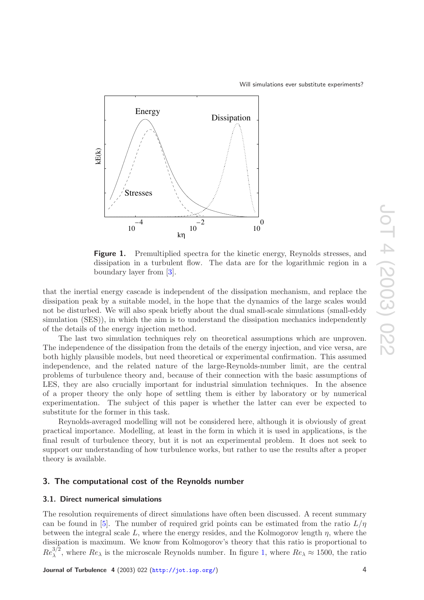<span id="page-3-2"></span>

**Figure 1.** Premultiplied spectra for the kinetic energy, Reynolds stresses, and dissipation in a turbulent flow. The data are for the logarithmic region in a boundary layer from [\[3\]](#page-12-5).

that the inertial energy cascade is independent of the dissipation mechanism, and replace the dissipation peak by a suitable model, in the hope that the dynamics of the large scales would not be disturbed. We will also speak briefly about the dual small-scale simulations (small-eddy simulation (SES)), in which the aim is to understand the dissipation mechanics independently of the details of the energy injection method.

The last two simulation techniques rely on theoretical assumptions which are unproven. The independence of the dissipation from the details of the energy injection, and vice versa, are both highly plausible models, but need theoretical or experimental confirmation. This assumed independence, and the related nature of the large-Reynolds-number limit, are the central problems of turbulence theory and, because of their connection with the basic assumptions of LES, they are also crucially important for industrial simulation techniques. In the absence of a proper theory the only hope of settling them is either by laboratory or by numerical experimentation. The subject of this paper is whether the latter can ever be expected to substitute for the former in this task.

Reynolds-averaged modelling will not be considered here, although it is obviously of great practical importance. Modelling, at least in the form in which it is used in applications, is the final result of turbulence theory, but it is not an experimental problem. It does not seek to support our understanding of how turbulence works, but rather to use the results after a proper theory is available.

#### <span id="page-3-0"></span>**3. The computational cost of the Reynolds number**

#### <span id="page-3-1"></span>**3.1. Direct numerical simulations**

The resolution requirements of direct simulations have often been discussed. A recent summary can be found in [\[5\]](#page-12-6). The number of required grid points can be estimated from the ratio  $L/\eta$ between the integral scale  $L$ , where the energy resides, and the Kolmogorov length  $\eta$ , where the dissipation is maximum. We know from Kolmogorov's theory that this ratio is proportional to  $Re_\lambda^{3/2}$ , where  $Re_\lambda$  is the microscale Reynolds number. In figure 1, where  $Re_\lambda \approx 1500$ , the ratio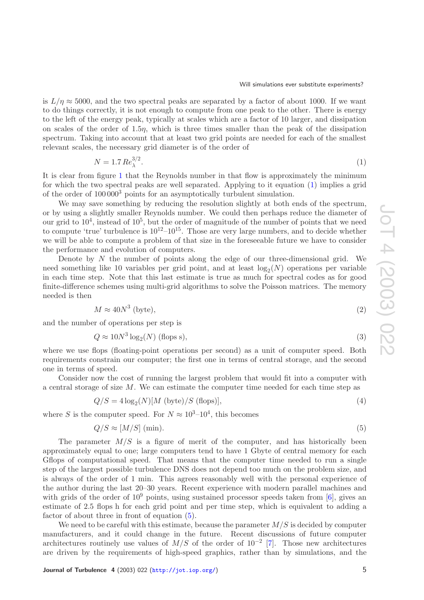is  $L/\eta \approx 5000$ , and the two spectral peaks are separated by a factor of about 1000. If we want to do things correctly, it is not enough to compute from one peak to the other. There is energy to the left of the energy peak, typically at scales which are a factor of 10 larger, and dissipation on scales of the order of  $1.5\eta$ , which is three times smaller than the peak of the dissipation spectrum. Taking into account that at least two grid points are needed for each of the smallest relevant scales, the necessary grid diameter is of the order of

$$
N = 1.7 \, Re_{\lambda}^{3/2}.\tag{1}
$$

It is clear from figure [1](#page-3-2) that the Reynolds number in that flow is approximately the minimum for which the two spectral peaks are well separated. Applying to it equation (1) implies a grid of the order of 100 0003 points for an asymptotically turbulent simulation.

We may save something by reducing the resolution slightly at both ends of the spectrum, or by using a slightly smaller Reynolds number. We could then perhaps reduce the diameter of our grid to  $10^4$ , instead of  $10^5$ , but the order of magnitude of the number of points that we need to compute 'true' turbulence is  $10^{12} - 10^{15}$ . Those are very large numbers, and to decide whether we will be able to compute a problem of that size in the foreseeable future we have to consider the performance and evolution of computers.

Denote by  $N$  the number of points along the edge of our three-dimensional grid. We need something like 10 variables per grid point, and at least  $log_2(N)$  operations per variable in each time step. Note that this last estimate is true as much for spectral codes as for good finite-difference schemes using multi-grid algorithms to solve the Poisson matrices. The memory needed is then

$$
M \approx 40N^3 \text{ (byte)},\tag{2}
$$

and the number of operations per step is

$$
Q \approx 10N^3 \log_2(N) \text{ (flops s)},\tag{3}
$$

where we use flops (floating-point operations per second) as a unit of computer speed. Both requirements constrain our computer; the first one in terms of central storage, and the second one in terms of speed.

Consider now the cost of running the largest problem that would fit into a computer with a central storage of size M. We can estimate the computer time needed for each time step as

$$
Q/S = 4\log_2(N)[M \text{ (byte)}/S \text{ (flops)}],\tag{4}
$$

where S is the computer speed. For  $N \approx 10^{3}$ –10<sup>4</sup>, this becomes

$$
Q/S \approx [M/S] \text{ (min)}.
$$
 (5)

<span id="page-4-0"></span>The parameter  $M/S$  is a figure of merit of the computer, and has historically been approximately equal to one; large computers tend to have 1 Gbyte of central memory for each Gflops of computational speed. That means that the computer time needed to run a single step of the largest possible turbulence DNS does not depend too much on the problem size, and is always of the order of 1 min. This agrees reasonably well with the personal experience of the author during the last 20–30 years. Recent experience with modern parallel machines and with grids of the order of  $10^9$  points, using sustained processor speeds taken from [\[6\]](#page-12-7), gives an estimate of 2.5 flops h for each grid point and per time step, which is equivalent to adding a factor of about three in front of equation [\(5\)](#page-4-0).

We need to be careful with this estimate, because the parameter  $M/S$  is decided by computer manufacturers, and it could change in the future. Recent discussions of future computer architectures routinely use values of  $M/S$  of the order of  $10^{-2}$  [\[7\]](#page-12-8). Those new architectures are driven by the requirements of high-speed graphics, rather than by simulations, and the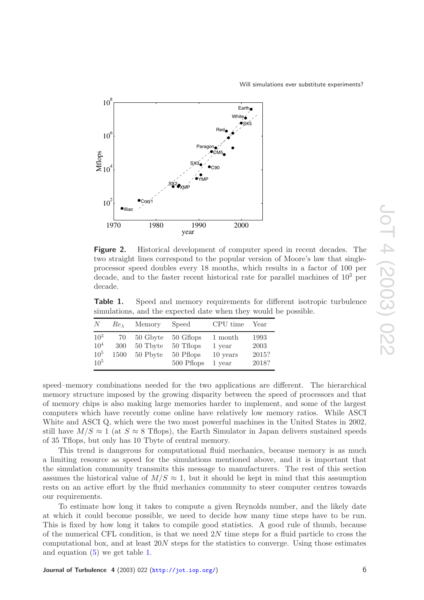<span id="page-5-0"></span>

**Figure 2.** Historical development of computer speed in recent decades. The two straight lines correspond to the popular version of Moore's law that singleprocessor speed doubles every 18 months, which results in a factor of 100 per decade, and to the faster recent historical rate for parallel machines of  $10^3$  per decade.

**Table 1.** Speed and memory requirements for different isotropic turbulence simulations, and the expected date when they would be possible.

| N                                            | $Re\lambda$       | Memory                           | Speed                                             | CPU time                                | Year                           |
|----------------------------------------------|-------------------|----------------------------------|---------------------------------------------------|-----------------------------------------|--------------------------------|
| $10^{3}$<br>$10^{4}$<br>$10^{5}$<br>$10^{5}$ | 70<br>300<br>1500 | 50 Gbyte<br>50 Tbyte<br>50 Pbyte | 50 Gflops<br>50 Tflops<br>50 Pflops<br>500 Pflops | 1 month<br>1 year<br>10 years<br>1 year | 1993<br>2003<br>2015?<br>2018? |

speed–memory combinations needed for the two applications are different. The hierarchical memory structure imposed by the growing disparity between the speed of processors and that of memory chips is also making large memories harder to implement, and some of the largest computers which have recently come online have relatively low memory ratios. While ASCI White and ASCI Q, which were the two most powerful machines in the United States in 2002, still have  $M/S \approx 1$  (at  $S \approx 8$  Tflops), the Earth Simulator in Japan delivers sustained speeds of 35 Tflops, but only has 10 Tbyte of central memory.

This trend is dangerous for computational fluid mechanics, because memory is as much a limiting resource as speed for the simulations mentioned above, and it is important that the simulation community transmits this message to manufacturers. The rest of this section assumes the historical value of  $M/S \approx 1$ , but it should be kept in mind that this assumption rests on an active effort by the fluid mechanics community to steer computer centres towards our requirements.

To estimate how long it takes to compute a given Reynolds number, and the likely date at which it could become possible, we need to decide how many time steps have to be run. This is fixed by how long it takes to compile good statistics. A good rule of thumb, because of the numerical CFL condition, is that we need  $2N$  time steps for a fluid particle to cross the computational box, and at least  $20N$  steps for the statistics to converge. Using those estimates and equation [\(5\)](#page-4-0) we get table 1.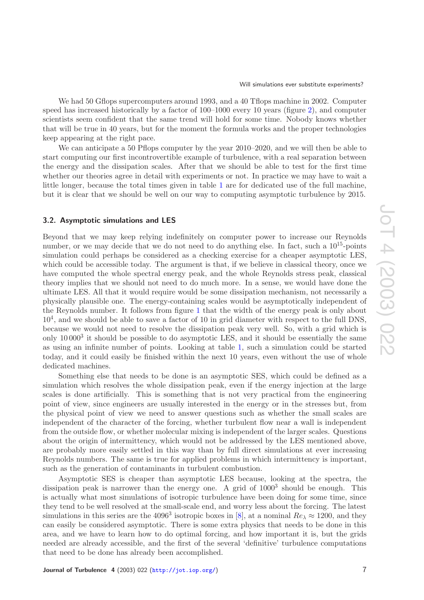We had 50 Gflops supercomputers around 1993, and a 40 Tflops machine in 2002. Computer speed has increased historically by a factor of 100–1000 every 10 years (figure [2\)](#page-5-0), and computer scientists seem confident that the same trend will hold for some time. Nobody knows whether that will be true in 40 years, but for the moment the formula works and the proper technologies keep appearing at the right pace.

We can anticipate a 50 Pflops computer by the year 2010–2020, and we will then be able to start computing our first incontrovertible example of turbulence, with a real separation between the energy and the dissipation scales. After that we should be able to test for the first time whether our theories agree in detail with experiments or not. In practice we may have to wait a little longer, because the total times given in table [1](#page-5-0) are for dedicated use of the full machine, but it is clear that we should be well on our way to computing asymptotic turbulence by 2015.

#### <span id="page-6-0"></span>**3.2. Asymptotic simulations and LES**

Beyond that we may keep relying indefinitely on computer power to increase our Reynolds number, or we may decide that we do not need to do anything else. In fact, such a  $10^{15}$ -points simulation could perhaps be considered as a checking exercise for a cheaper asymptotic LES, which could be accessible today. The argument is that, if we believe in classical theory, once we have computed the whole spectral energy peak, and the whole Reynolds stress peak, classical theory implies that we should not need to do much more. In a sense, we would have done the ultimate LES. All that it would require would be some dissipation mechanism, not necessarily a physically plausible one. The energy-containing scales would be asymptotically independent of the Reynolds number. It follows from figure [1](#page-3-2) that the width of the energy peak is only about  $10<sup>4</sup>$ , and we should be able to save a factor of 10 in grid diameter with respect to the full DNS, because we would not need to resolve the dissipation peak very well. So, with a grid which is only  $10000<sup>3</sup>$  it should be possible to do asymptotic LES, and it should be essentially the same as using an infinite number of points. Looking at table [1,](#page-5-0) such a simulation could be started today, and it could easily be finished within the next 10 years, even without the use of whole dedicated machines.

Something else that needs to be done is an asymptotic SES, which could be defined as a simulation which resolves the whole dissipation peak, even if the energy injection at the large scales is done artificially. This is something that is not very practical from the engineering point of view, since engineers are usually interested in the energy or in the stresses but, from the physical point of view we need to answer questions such as whether the small scales are independent of the character of the forcing, whether turbulent flow near a wall is independent from the outside flow, or whether molecular mixing is independent of the larger scales. Questions about the origin of intermittency, which would not be addressed by the LES mentioned above, are probably more easily settled in this way than by full direct simulations at ever increasing Reynolds numbers. The same is true for applied problems in which intermittency is important, such as the generation of contaminants in turbulent combustion.

Asymptotic SES is cheaper than asymptotic LES because, looking at the spectra, the dissipation peak is narrower than the energy one. A grid of  $1000<sup>3</sup>$  should be enough. This is actually what most simulations of isotropic turbulence have been doing for some time, since they tend to be well resolved at the small-scale end, and worry less about the forcing. The latest simulations in this series are the 4096<sup>3</sup> isotropic boxes in [\[8\]](#page-12-9), at a nominal  $Re_\lambda \approx 1200$ , and they can easily be considered asymptotic. There is some extra physics that needs to be done in this area, and we have to learn how to do optimal forcing, and how important it is, but the grids needed are already accessible, and the first of the several 'definitive' turbulence computations that need to be done has already been accomplished.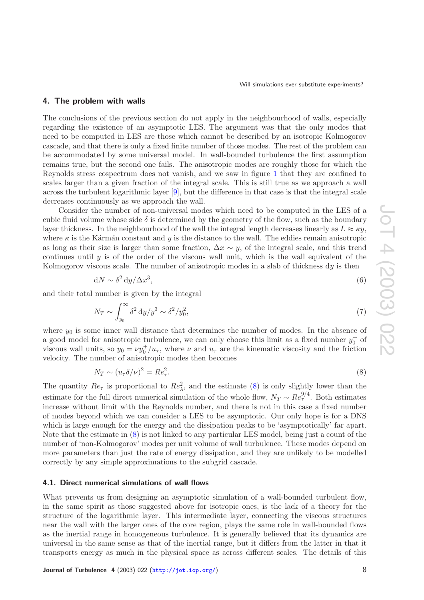#### <span id="page-7-0"></span>**4. The problem with walls**

The conclusions of the previous section do not apply in the neighbourhood of walls, especially regarding the existence of an asymptotic LES. The argument was that the only modes that need to be computed in LES are those which cannot be described by an isotropic Kolmogorov cascade, and that there is only a fixed finite number of those modes. The rest of the problem can be accommodated by some universal model. In wall-bounded turbulence the first assumption remains true, but the second one fails. The anisotropic modes are roughly those for which the Reynolds stress cospectrum does not vanish, and we saw in figure [1](#page-3-2) that they are confined to scales larger than a given fraction of the integral scale. This is still true as we approach a wall across the turbulent logarithmic layer [\[9\]](#page-12-10), but the difference in that case is that the integral scale decreases continuously as we approach the wall.

Consider the number of non-universal modes which need to be computed in the LES of a cubic fluid volume whose side  $\delta$  is determined by the geometry of the flow, such as the boundary layer thickness. In the neighbourhood of the wall the integral length decreases linearly as  $L \approx \kappa y$ , where  $\kappa$  is the Kármán constant and y is the distance to the wall. The eddies remain anisotropic as long as their size is larger than some fraction,  $\Delta x \sim y$ , of the integral scale, and this trend continues until y is of the order of the viscous wall unit, which is the wall equivalent of the Kolmogorov viscous scale. The number of anisotropic modes in a slab of thickness  $dy$  is then

$$
dN \sim \delta^2 dy / \Delta x^3,\tag{6}
$$

and their total number is given by the integral

$$
N_T \sim \int_{y_0}^{\infty} \delta^2 \, \mathrm{d}y / y^3 \sim \delta^2 / y_0^2,\tag{7}
$$

where  $y_0$  is some inner wall distance that determines the number of modes. In the absence of a good model for anisotropic turbulence, we can only choose this limit as a fixed number  $y_0^+$  of viscous wall units, so  $y_0 = \nu y_0^+/u_\tau$ , where  $\nu$  and  $u_\tau$  are the kinematic viscosity and the friction velocity. The number of anisotropic modes then becomes

$$
N_T \sim (u_\tau \delta/\nu)^2 = Re_\tau^2. \tag{8}
$$

The quantity  $Re_{\tau}$  is proportional to  $Re_{\lambda}^2$ , and the estimate (8) is only slightly lower than the estimate for the full direct numerical simulation of the whole flow,  $N_T \sim Re_\tau^{9/4}$ . Both estimates increase without limit with the Reynolds number, and there is not in this case a fixed number of modes beyond which we can consider a LES to be asymptotic. Our only hope is for a DNS which is large enough for the energy and the dissipation peaks to be 'asymptotically' far apart. Note that the estimate in (8) is not linked to any particular LES model, being just a count of the number of 'non-Kolmogorov' modes per unit volume of wall turbulence. These modes depend on more parameters than just the rate of energy dissipation, and they are unlikely to be modelled correctly by any simple approximations to the subgrid cascade.

#### <span id="page-7-1"></span>**4.1. Direct numerical simulations of wall flows**

What prevents us from designing an asymptotic simulation of a wall-bounded turbulent flow, in the same spirit as those suggested above for isotropic ones, is the lack of a theory for the structure of the logarithmic layer. This intermediate layer, connecting the viscous structures near the wall with the larger ones of the core region, plays the same role in wall-bounded flows as the inertial range in homogeneous turbulence. It is generally believed that its dynamics are universal in the same sense as that of the inertial range, but it differs from the latter in that it transports energy as much in the physical space as across different scales. The details of this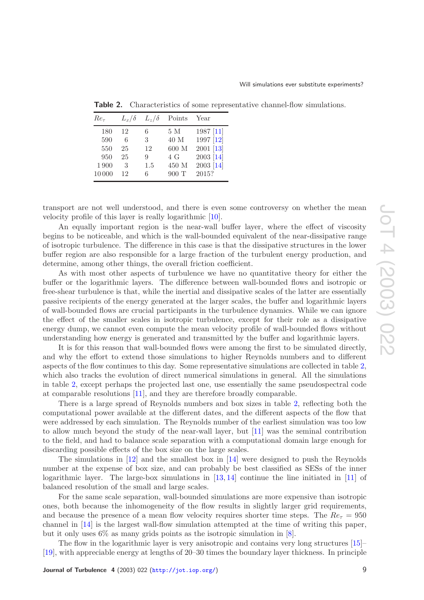| $Re_{\tau}$ | $L_x/\delta$ | $L_z/\delta$ | Points | Year      |
|-------------|--------------|--------------|--------|-----------|
| 180         | 12           | 6            | $5\;M$ | 1987 [11] |
| 590         | 6            | 3            | 40 M   | 1997 [12] |
| 550         | 25           | 12           | 600 M  | 2001 [13] |
| 950         | 25           | 9            | 4 G    | 2003 [14] |
| 1900        | 3            | 1.5          | 450 M  | 2003 [14] |
| 10000       | 12           | 6            | 900 T  | 2015?     |

<span id="page-8-0"></span>**Table 2.** Characteristics of some representative channel-flow simulations.

transport are not well understood, and there is even some controversy on whether the mean velocity profile of this layer is really logarithmic [\[10\]](#page-13-0).

An equally important region is the near-wall buffer layer, where the effect of viscosity begins to be noticeable, and which is the wall-bounded equivalent of the near-dissipative range of isotropic turbulence. The difference in this case is that the dissipative structures in the lower buffer region are also responsible for a large fraction of the turbulent energy production, and determine, among other things, the overall friction coefficient.

As with most other aspects of turbulence we have no quantitative theory for either the buffer or the logarithmic layers. The difference between wall-bounded flows and isotropic or free-shear turbulence is that, while the inertial and dissipative scales of the latter are essentially passive recipients of the energy generated at the larger scales, the buffer and logarithmic layers of wall-bounded flows are crucial participants in the turbulence dynamics. While we can ignore the effect of the smaller scales in isotropic turbulence, except for their role as a dissipative energy dump, we cannot even compute the mean velocity profile of wall-bounded flows without understanding how energy is generated and transmitted by the buffer and logarithmic layers.

It is for this reason that wall-bounded flows were among the first to be simulated directly, and why the effort to extend those simulations to higher Reynolds numbers and to different aspects of the flow continues to this day. Some representative simulations are collected in table 2, which also tracks the evolution of direct numerical simulations in general. All the simulations in table 2, except perhaps the projected last one, use essentially the same pseudospectral code at comparable resolutions [[11](#page-13-7)], and they are therefore broadly comparable.

There is a large spread of Reynolds numbers and box sizes in table 2, reflecting both the computational power available at the different dates, and the different aspects of the flow that were addressed by each simulation. The Reynolds number of the earliest simulation was too low to allow much beyond the study of the near-wall layer, but [\[11\]](#page-13-1) was the seminal contribution to the field, and had to balance scale separation with a computational domain large enough for discarding possible effects of the box size on the large scales.

The simulations in [\[12\]](#page-13-2) and the smallest box in [\[14\]](#page-13-3) were designed to push the Reynolds number at the expense of box size, and can probably be best classified as SESs of the inner logarithmic layer. The large-box simulations in [\[13,](#page-13-4) [14\]](#page-13-3) continue the line initiated in [\[11\]](#page-13-1) of balanced resolution of the small and large scales.

For the same scale separation, wall-bounded simulations are more expensive than isotropic ones, both because the inhomogeneity of the flow results in slightly larger grid requirements, and because the presence of a mean flow velocity requires shorter time steps. The  $Re<sub>\tau</sub> = 950$ channel in [\[14\]](#page-13-3) is the largest wall-flow simulation attempted at the time of writing this paper, but it only uses 6% as many grids points as the isotropic simulation in [\[8\]](#page-12-9).

The flow in the logarithmic layer is very anisotropic and contains very long structures [\[15\]](#page-13-5)– [\[19\]](#page-13-6), with appreciable energy at lengths of 20–30 times the boundary layer thickness. In principle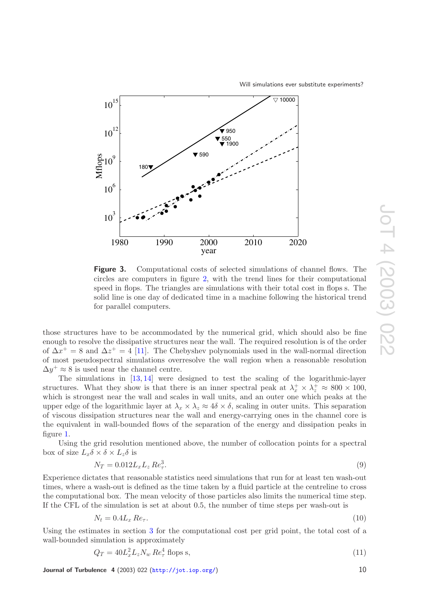<span id="page-9-0"></span>

**Figure 3.** Computational costs of selected simulations of channel flows. The circles are computers in figure [2,](#page-5-0) with the trend lines for their computational speed in flops. The triangles are simulations with their total cost in flops s. The solid line is one day of dedicated time in a machine following the historical trend for parallel computers.

those structures have to be accommodated by the numerical grid, which should also be fine enough to resolve the dissipative structures near the wall. The required resolution is of the order of  $\Delta x^+=8$  and  $\Delta z^+=4$  [\[11\]](#page-13-1). The Chebyshev polynomials used in the wall-normal direction of most pseudospectral simulations overresolve the wall region when a reasonable resolution  $\Delta y^+ \approx 8$  is used near the channel centre.

The simulations in  $[13, 14]$  $[13, 14]$  $[13, 14]$  were designed to test the scaling of the logarithmic-layer structures. What they show is that there is an inner spectral peak at  $\lambda_x^+ \times \lambda_z^+ \approx 800 \times 100$ , which is strongest near the wall and scales in wall units, and an outer one which peaks at the upper edge of the logarithmic layer at  $\lambda_x \times \lambda_z \approx 4\delta \times \delta$ , scaling in outer units. This separation of viscous dissipation structures near the wall and energy-carrying ones in the channel core is the equivalent in wall-bounded flows of the separation of the energy and dissipation peaks in figure [1.](#page-3-2)

Using the grid resolution mentioned above, the number of collocation points for a spectral box of size  $L_x \delta \times \delta \times L_z \delta$  is

$$
N_T = 0.012 L_x L_z Re_\tau^3. \tag{9}
$$

Experience dictates that reasonable statistics need simulations that run for at least ten wash-out times, where a wash-out is defined as the time taken by a fluid particle at the centreline to cross the computational box. The mean velocity of those particles also limits the numerical time step. If the CFL of the simulation is set at about 0.5, the number of time steps per wash-out is

$$
N_t = 0.4L_x Re_\tau. \tag{10}
$$

<span id="page-9-1"></span>Using the estimates in section [3](#page-3-0) for the computational cost per grid point, the total cost of a wall-bounded simulation is approximately

$$
Q_T = 40L_x^2 L_z N_w Re_\tau^4 \text{ flops s},\tag{11}
$$

JoT

 $\blacktriangle$ 

(2003)

022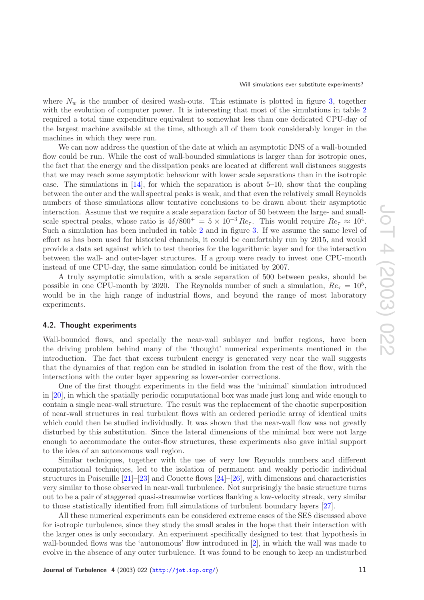where  $N_w$  is the number of desired wash-outs. This estimate is plotted in figure [3,](#page-9-0) together with the evolution of computer power. It is interesting that most of the simulations in table [2](#page-8-0) required a total time expenditure equivalent to somewhat less than one dedicated CPU-day of the largest machine available at the time, although all of them took considerably longer in the machines in which they were run.

We can now address the question of the date at which an asymptotic DNS of a wall-bounded flow could be run. While the cost of wall-bounded simulations is larger than for isotropic ones, the fact that the energy and the dissipation peaks are located at different wall distances suggests that we may reach some asymptotic behaviour with lower scale separations than in the isotropic case. The simulations in  $[14]$ , for which the separation is about 5–10, show that the coupling between the outer and the wall spectral peaks is weak, and that even the relatively small Reynolds numbers of those simulations allow tentative conclusions to be drawn about their asymptotic interaction. Assume that we require a scale separation factor of 50 between the large- and smallscale spectral peaks, whose ratio is  $4\delta/800^+ = 5 \times 10^{-3} Re_\tau$ . This would require  $Re_\tau \approx 10^4$ . Such a simulation has been included in table [2](#page-8-0) and in figure [3.](#page-9-0) If we assume the same level of effort as has been used for historical channels, it could be comfortably run by 2015, and would provide a data set against which to test theories for the logarithmic layer and for the interaction between the wall- and outer-layer structures. If a group were ready to invest one CPU-month instead of one CPU-day, the same simulation could be initiated by 2007.

A truly asymptotic simulation, with a scale separation of 500 between peaks, should be possible in one CPU-month by 2020. The Reynolds number of such a simulation,  $Re_\tau = 10^5$ , would be in the high range of industrial flows, and beyond the range of most laboratory experiments.

#### <span id="page-10-0"></span>**4.2. Thought experiments**

Wall-bounded flows, and specially the near-wall sublayer and buffer regions, have been the driving problem behind many of the 'thought' numerical experiments mentioned in the introduction. The fact that excess turbulent energy is generated very near the wall suggests that the dynamics of that region can be studied in isolation from the rest of the flow, with the interactions with the outer layer appearing as lower-order corrections.

One of the first thought experiments in the field was the 'minimal' simulation introduced in [\[20\]](#page-13-8), in which the spatially periodic computational box was made just long and wide enough to contain a single near-wall structure. The result was the replacement of the chaotic superposition of near-wall structures in real turbulent flows with an ordered periodic array of identical units which could then be studied individually. It was shown that the near-wall flow was not greatly disturbed by this substitution. Since the lateral dimensions of the minimal box were not large enough to accommodate the outer-flow structures, these experiments also gave initial support to the idea of an autonomous wall region.

Similar techniques, together with the use of very low Reynolds numbers and different computational techniques, led to the isolation of permanent and weakly periodic individual structures in Poiseuille [\[21\]](#page-13-9)–[\[23\]](#page-13-10) and Couette flows [\[24\]](#page-13-11)–[\[26\]](#page-13-12), with dimensions and characteristics very similar to those observed in near-wall turbulence. Not surprisingly the basic structure turns out to be a pair of staggered quasi-streamwise vortices flanking a low-velocity streak, very similar to those statistically identified from full simulations of turbulent boundary layers [\[27\]](#page-13-13).

All these numerical experiments can be considered extreme cases of the SES discussed above for isotropic turbulence, since they study the small scales in the hope that their interaction with the larger ones is only secondary. An experiment specifically designed to test that hypothesis in wall-bounded flows was the 'autonomous' flow introduced in [\[2\]](#page-12-3), in which the wall was made to evolve in the absence of any outer turbulence. It was found to be enough to keep an undisturbed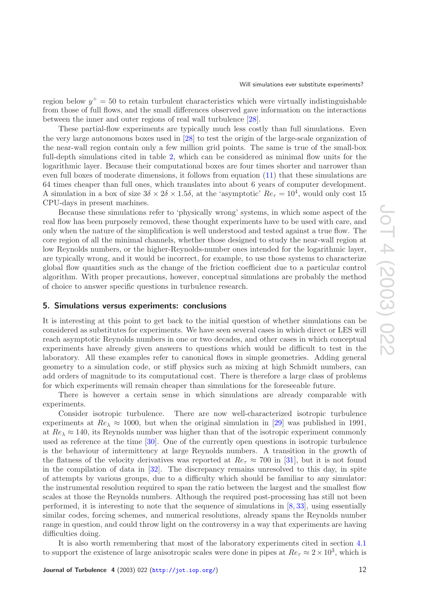region below  $y^+=50$  to retain turbulent characteristics which were virtually indistinguishable from those of full flows, and the small differences observed gave information on the interactions between the inner and outer regions of real wall turbulence [\[28\]](#page-13-14).

These partial-flow experiments are typically much less costly than full simulations. Even the very large autonomous boxes used in [\[28\]](#page-13-14) to test the origin of the large-scale organization of the near-wall region contain only a few million grid points. The same is true of the small-box full-depth simulations cited in table [2,](#page-8-0) which can be considered as minimal flow units for the logarithmic layer. Because their computational boxes are four times shorter and narrower than even full boxes of moderate dimensions, it follows from equation [\(11\)](#page-9-1) that these simulations are 64 times cheaper than full ones, which translates into about 6 years of computer development. A simulation in a box of size  $3\delta \times 2\delta \times 1.5\delta$ , at the 'asymptotic'  $Re_\tau = 10^4$ , would only cost 15 CPU-days in present machines.

Because these simulations refer to 'physically wrong' systems, in which some aspect of the real flow has been purposely removed, these thought experiments have to be used with care, and only when the nature of the simplification is well understood and tested against a true flow. The core region of all the minimal channels, whether those designed to study the near-wall region at low Reynolds numbers, or the higher-Reynolds-number ones intended for the logarithmic layer, are typically wrong, and it would be incorrect, for example, to use those systems to characterize global flow quantities such as the change of the friction coefficient due to a particular control algorithm. With proper precautions, however, conceptual simulations are probably the method of choice to answer specific questions in turbulence research.

#### <span id="page-11-0"></span>**5. Simulations versus experiments: conclusions**

It is interesting at this point to get back to the initial question of whether simulations can be considered as substitutes for experiments. We have seen several cases in which direct or LES will reach asymptotic Reynolds numbers in one or two decades, and other cases in which conceptual experiments have already given answers to questions which would be difficult to test in the laboratory. All these examples refer to canonical flows in simple geometries. Adding general geometry to a simulation code, or stiff physics such as mixing at high Schmidt numbers, can add orders of magnitude to its computational cost. There is therefore a large class of problems for which experiments will remain cheaper than simulations for the foreseeable future.

There is however a certain sense in which simulations are already comparable with experiments.

Consider isotropic turbulence. There are now well-characterized isotropic turbulence experiments at  $Re_\lambda \approx 1000$ , but when the original simulation in [\[29\]](#page-13-15) was published in 1991, at  $Re_\lambda \approx 140$ , its Reynolds number was higher than that of the isotropic experiment commonly used as reference at the time [\[30\]](#page-13-16). One of the currently open questions in isotropic turbulence is the behaviour of intermittency at large Reynolds numbers. A transition in the growth of the flatness of the velocity derivatives was reported at  $Re_\tau \approx 700$  in [\[31\]](#page-13-17), but it is not found in the compilation of data in  $[32]$ . The discrepancy remains unresolved to this day, in spite of attempts by various groups, due to a difficulty which should be familiar to any simulator: the instrumental resolution required to span the ratio between the largest and the smallest flow scales at those the Reynolds numbers. Although the required post-processing has still not been performed, it is interesting to note that the sequence of simulations in [\[8,](#page-12-9) [33\]](#page-13-19), using essentially similar codes, forcing schemes, and numerical resolutions, already spans the Reynolds number range in question, and could throw light on the controversy in a way that experiments are having difficulties doing.

It is also worth remembering that most of the laboratory experiments cited in section [4.1](#page-7-1) to support the existence of large anisotropic scales were done in pipes at  $Re_\tau \approx 2 \times 10^3$ , which is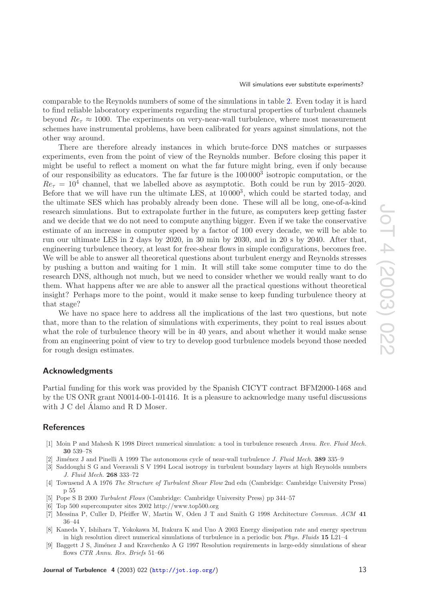comparable to the Reynolds numbers of some of the simulations in table [2.](#page-8-0) Even today it is hard to find reliable laboratory experiments regarding the structural properties of turbulent channels beyond  $Re_\tau \approx 1000$ . The experiments on very-near-wall turbulence, where most measurement schemes have instrumental problems, have been calibrated for years against simulations, not the other way around.

There are therefore already instances in which brute-force DNS matches or surpasses experiments, even from the point of view of the Reynolds number. Before closing this paper it might be useful to reflect a moment on what the far future might bring, even if only because of our responsibility as educators. The far future is the 100 0003 isotropic computation, or the  $Re_\tau = 10^4$  channel, that we labelled above as asymptotic. Both could be run by 2015–2020. Before that we will have run the ultimate LES, at  $10000<sup>3</sup>$ , which could be started today, and the ultimate SES which has probably already been done. These will all be long, one-of-a-kind research simulations. But to extrapolate further in the future, as computers keep getting faster and we decide that we do not need to compute anything bigger. Even if we take the conservative estimate of an increase in computer speed by a factor of 100 every decade, we will be able to run our ultimate LES in 2 days by 2020, in 30 min by 2030, and in 20 s by 2040. After that, engineering turbulence theory, at least for free-shear flows in simple configurations, becomes free. We will be able to answer all theoretical questions about turbulent energy and Reynolds stresses by pushing a button and waiting for 1 min. It will still take some computer time to do the research DNS, although not much, but we need to consider whether we would really want to do them. What happens after we are able to answer all the practical questions without theoretical insight? Perhaps more to the point, would it make sense to keep funding turbulence theory at that stage?

We have no space here to address all the implications of the last two questions, but note that, more than to the relation of simulations with experiments, they point to real issues about what the role of turbulence theory will be in 40 years, and about whether it would make sense from an engineering point of view to try to develop good turbulence models beyond those needed for rough design estimates.

#### **Acknowledgments**

<span id="page-12-0"></span>Partial funding for this work was provided by the Spanish CICYT contract BFM2000-1468 and by the US ONR grant N0014-00-1-01416. It is a pleasure to acknowledge many useful discussions with J C del Alamo and R D Moser.

#### <span id="page-12-2"></span><span id="page-12-1"></span>**References**

- <span id="page-12-3"></span>[1] Moin P and Mahesh K 1998 Direct numerical simulation: a tool in turbulence research *Annu. Rev. Fluid Mech.* **30** 539–78
- <span id="page-12-5"></span>[2] Jim´enez J and Pinelli A 1999 The autonomous cycle of near-wall turbulence *J. Fluid Mech.* **389** 335–9
- [3] Saddoughi S G and Veeravali S V 1994 Local isotropy in turbulent boundary layers at high Reynolds numbers *J. Fluid Mech.* **268** 333–72
- <span id="page-12-6"></span><span id="page-12-4"></span>[4] Townsend A A 1976 *The Structure of Turbulent Shear Flow* 2nd edn (Cambridge: Cambridge University Press) p 55
- [5] Pope S B 2000 *Turbulent Flows* (Cambridge: Cambridge University Press) pp 344–57
- <span id="page-12-7"></span>[6] Top 500 supercomputer sites 2002 http://www.top500.org
- <span id="page-12-9"></span><span id="page-12-8"></span>[7] Messina P, Culler D, Pfeiffer W, Martin W, Oden J T and Smith G 1998 Architecture *Commun. ACM* **41** 36–44
- [8] Kaneda Y, Ishihara T, Yokokawa M, Itakura K and Uno A 2003 Energy dissipation rate and energy spectrum in high resolution direct numerical simulations of turbulence in a periodic box *Phys. Fluids* **15** L21–4
- <span id="page-12-10"></span>[9] Baggett J S, Jiménez J and Kravchenko A G 1997 Resolution requirements in large-eddy simulations of shear flows *CTR Annu. Res. Briefs* 51–66